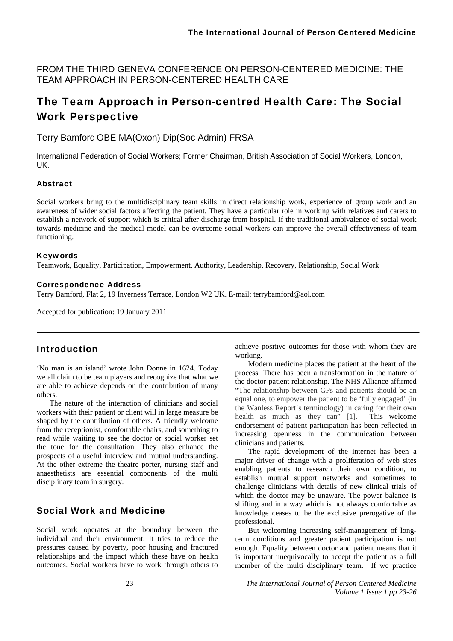FROM THE THIRD GENEVA CONFERENCE ON PERSON-CENTERED MEDICINE: THE TEAM APPROACH IN PERSON-CENTERED HEALTH CARE

# The Team Approach in Person-centred Health Care: The Social Work Perspective

Terry Bamford OBE MA(Oxon) Dip(Soc Admin) FRSA

International Federation of Social Workers; Former Chairman, British Association of Social Workers, London, UK.

#### Abstract

Social workers bring to the multidisciplinary team skills in direct relationship work, experience of group work and an awareness of wider social factors affecting the patient. They have a particular role in working with relatives and carers to establish a network of support which is critical after discharge from hospital. If the traditional ambivalence of social work towards medicine and the medical model can be overcome social workers can improve the overall effectiveness of team functioning.

#### Keywords

Teamwork, Equality, Participation, Empowerment, Authority, Leadership, Recovery, Relationship, Social Work

#### Correspondence Address

Terry Bamford, Flat 2, 19 Inverness Terrace, London W2 UK. E-mail: terrybamford@aol.com

Accepted for publication: 19 January 2011

### Introduction

'No man is an island' wrote John Donne in 1624. Today we all claim to be team players and recognize that what we are able to achieve depends on the contribution of many others.

The nature of the interaction of clinicians and social workers with their patient or client will in large measure be shaped by the contribution of others. A friendly welcome from the receptionist, comfortable chairs, and something to read while waiting to see the doctor or social worker set the tone for the consultation. They also enhance the prospects of a useful interview and mutual understanding. At the other extreme the theatre porter, nursing staff and anaesthetists are essential components of the multi disciplinary team in surgery.

### Social Work and Medicine

Social work operates at the boundary between the individual and their environment. It tries to reduce the pressures caused by poverty, poor housing and fractured relationships and the impact which these have on health outcomes. Social workers have to work through others to

achieve positive outcomes for those with whom they are working.

Modern medicine places the patient at the heart of the process. There has been a transformation in the nature of the doctor-patient relationship. The NHS Alliance affirmed "The relationship between GPs and patients should be an equal one, to empower the patient to be 'fully engaged' (in the Wanless Report's terminology) in caring for their own health as much as they can" [1]. This welcome endorsement of patient participation has been reflected in increasing openness in the communication between clinicians and patients.

The rapid development of the internet has been a major driver of change with a proliferation of web sites enabling patients to research their own condition, to establish mutual support networks and sometimes to challenge clinicians with details of new clinical trials of which the doctor may be unaware. The power balance is shifting and in a way which is not always comfortable as knowledge ceases to be the exclusive prerogative of the professional.

But welcoming increasing self-management of longterm conditions and greater patient participation is not enough. Equality between doctor and patient means that it is important unequivocally to accept the patient as a full member of the multi disciplinary team. If we practice

23 *The International Journal of Person Centered Medicine Volume 1 Issue 1 pp 23-26*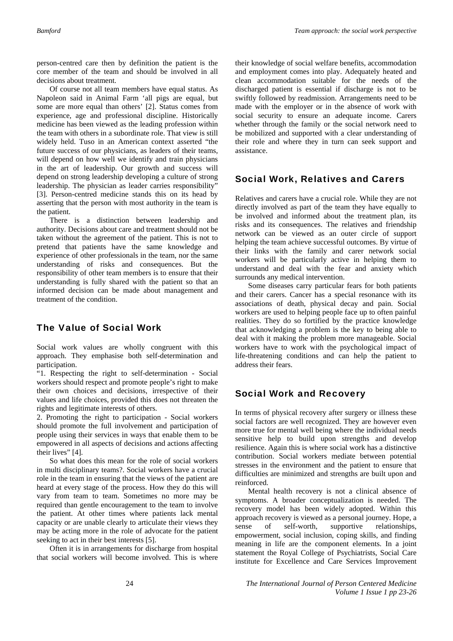person-centred care then by definition the patient is the core member of the team and should be involved in all decisions about treatment.

Of course not all team members have equal status. As Napoleon said in Animal Farm 'all pigs are equal, but some are more equal than others' [2]. Status comes from experience, age and professional discipline. Historically medicine has been viewed as the leading profession within the team with others in a subordinate role. That view is still widely held. Tuso in an American context asserted "the future success of our physicians, as leaders of their teams, will depend on how well we identify and train physicians in the art of leadership. Our growth and success will depend on strong leadership developing a culture of strong leadership. The physician as leader carries responsibility" [3]. Person-centred medicine stands this on its head by asserting that the person with most authority in the team is the patient.

There is a distinction between leadership and authority. Decisions about care and treatment should not be taken without the agreement of the patient. This is not to pretend that patients have the same knowledge and experience of other professionals in the team, nor the same understanding of risks and consequences. But the responsibility of other team members is to ensure that their understanding is fully shared with the patient so that an informed decision can be made about management and treatment of the condition.

## The Value of Social Work

Social work values are wholly congruent with this approach. They emphasise both self-determination and participation.

"1. Respecting the right to self-determination - Social workers should respect and promote people's right to make their own choices and decisions, irrespective of their values and life choices, provided this does not threaten the rights and legitimate interests of others.

2. Promoting the right to participation - Social workers should promote the full involvement and participation of people using their services in ways that enable them to be empowered in all aspects of decisions and actions affecting their lives" [4].

So what does this mean for the role of social workers in multi disciplinary teams?. Social workers have a crucial role in the team in ensuring that the views of the patient are heard at every stage of the process. How they do this will vary from team to team. Sometimes no more may be required than gentle encouragement to the team to involve the patient. At other times where patients lack mental capacity or are unable clearly to articulate their views they may be acting more in the role of advocate for the patient seeking to act in their best interests [5].

Often it is in arrangements for discharge from hospital that social workers will become involved. This is where

their knowledge of social welfare benefits, accommodation and employment comes into play. Adequately heated and clean accommodation suitable for the needs of the discharged patient is essential if discharge is not to be swiftly followed by readmission. Arrangements need to be made with the employer or in the absence of work with social security to ensure an adequate income. Carers whether through the family or the social network need to be mobilized and supported with a clear understanding of their role and where they in turn can seek support and assistance.

## Social Work, Relatives and Carers

Relatives and carers have a crucial role. While they are not directly involved as part of the team they have equally to be involved and informed about the treatment plan, its risks and its consequences. The relatives and friendship network can be viewed as an outer circle of support helping the team achieve successful outcomes. By virtue of their links with the family and carer network social workers will be particularly active in helping them to understand and deal with the fear and anxiety which surrounds any medical intervention.

Some diseases carry particular fears for both patients and their carers. Cancer has a special resonance with its associations of death, physical decay and pain. Social workers are used to helping people face up to often painful realities. They do so fortified by the practice knowledge that acknowledging a problem is the key to being able to deal with it making the problem more manageable. Social workers have to work with the psychological impact of life-threatening conditions and can help the patient to address their fears.

## Social Work and Recovery

In terms of physical recovery after surgery or illness these social factors are well recognized. They are however even more true for mental well being where the individual needs sensitive help to build upon strengths and develop resilience. Again this is where social work has a distinctive contribution. Social workers mediate between potential stresses in the environment and the patient to ensure that difficulties are minimized and strengths are built upon and reinforced.

Mental health recovery is not a clinical absence of symptoms. A broader conceptualization is needed. The recovery model has been widely adopted. Within this approach recovery is viewed as a personal journey. Hope, a sense of self-worth, supportive relationships, empowerment, social inclusion, coping skills, and finding meaning in life are the component elements. In a joint statement the Royal College of Psychiatrists, Social Care institute for Excellence and Care Services Improvement

24 *The International Journal of Person Centered Medicine Volume 1 Issue 1 pp 23-26*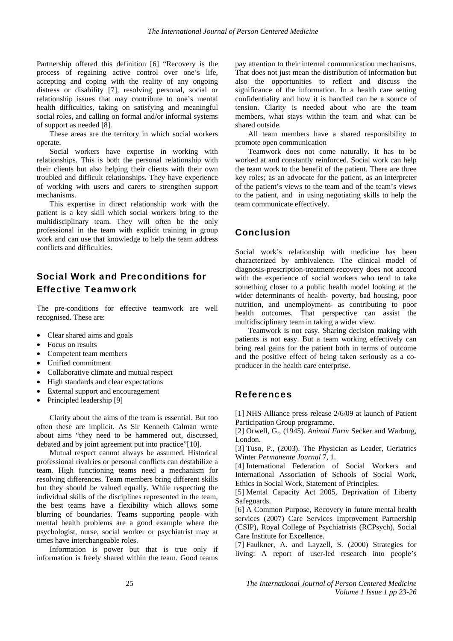Partnership offered this definition [6] "Recovery is the process of regaining active control over one's life, accepting and coping with the reality of any ongoing distress or disability [7], resolving personal, social or relationship issues that may contribute to one's mental health difficulties, taking on satisfying and meaningful social roles, and calling on formal and/or informal systems of support as needed [8].

These areas are the territory in which social workers operate.

Social workers have expertise in working with relationships. This is both the personal relationship with their clients but also helping their clients with their own troubled and difficult relationships. They have experience of working with users and carers to strengthen support mechanisms.

This expertise in direct relationship work with the patient is a key skill which social workers bring to the multidisciplinary team. They will often be the only professional in the team with explicit training in group work and can use that knowledge to help the team address conflicts and difficulties.

## Social Work and Preconditions for Effective Teamwork

The pre-conditions for effective teamwork are well recognised. These are:

- Clear shared aims and goals
- Focus on results
- Competent team members
- Unified commitment
- Collaborative climate and mutual respect
- High standards and clear expectations
- External support and encouragement
- Principled leadership [9]

Clarity about the aims of the team is essential. But too often these are implicit. As Sir Kenneth Calman wrote about aims "they need to be hammered out, discussed, debated and by joint agreement put into practice"[10].

Mutual respect cannot always be assumed. Historical professional rivalries or personal conflicts can destabilize a team. High functioning teams need a mechanism for resolving differences. Team members bring different skills but they should be valued equally. While respecting the individual skills of the disciplines represented in the team, the best teams have a flexibility which allows some blurring of boundaries. Teams supporting people with mental health problems are a good example where the psychologist, nurse, social worker or psychiatrist may at times have interchangeable roles.

Information is power but that is true only if information is freely shared within the team. Good teams

pay attention to their internal communication mechanisms. That does not just mean the distribution of information but also the opportunities to reflect and discuss the significance of the information. In a health care setting confidentiality and how it is handled can be a source of tension. Clarity is needed about who are the team members, what stays within the team and what can be shared outside.

All team members have a shared responsibility to promote open communication

Teamwork does not come naturally. It has to be worked at and constantly reinforced. Social work can help the team work to the benefit of the patient. There are three key roles; as an advocate for the patient, as an interpreter of the patient's views to the team and of the team's views to the patient, and in using negotiating skills to help the team communicate effectively.

## **Conclusion**

Social work's relationship with medicine has been characterized by ambivalence. The clinical model of diagnosis-prescription-treatment-recovery does not accord with the experience of social workers who tend to take something closer to a public health model looking at the wider determinants of health- poverty, bad housing, poor nutrition, and unemployment- as contributing to poor health outcomes. That perspective can assist the multidisciplinary team in taking a wider view.

Teamwork is not easy. Sharing decision making with patients is not easy. But a team working effectively can bring real gains for the patient both in terms of outcome and the positive effect of being taken seriously as a coproducer in the health care enterprise.

### References

[1] NHS Alliance press release 2/6/09 at launch of Patient Participation Group programme.

[2] Orwell, G., (1945). *Animal Farm* Secker and Warburg, London.

[3] Tuso, P., (2003). The Physician as Leader, Geriatrics Winter *Permanente Journal* 7, 1.

[4] International Federation of Social Workers and International Association of Schools of Social Work, Ethics in Social Work, Statement of Principles.

[5] Mental Capacity Act 2005, Deprivation of Liberty Safeguards.

[6] A Common Purpose, Recovery in future mental health services (2007) Care Services Improvement Partnership (CSIP), Royal College of Psychiatrists (RCPsych), Social Care Institute for Excellence.

[7] Faulkner, A. and Layzell, S. (2000) Strategies for living: A report of user-led research into people's

25 *The International Journal of Person Centered Medicine Volume 1 Issue 1 pp 23-26*